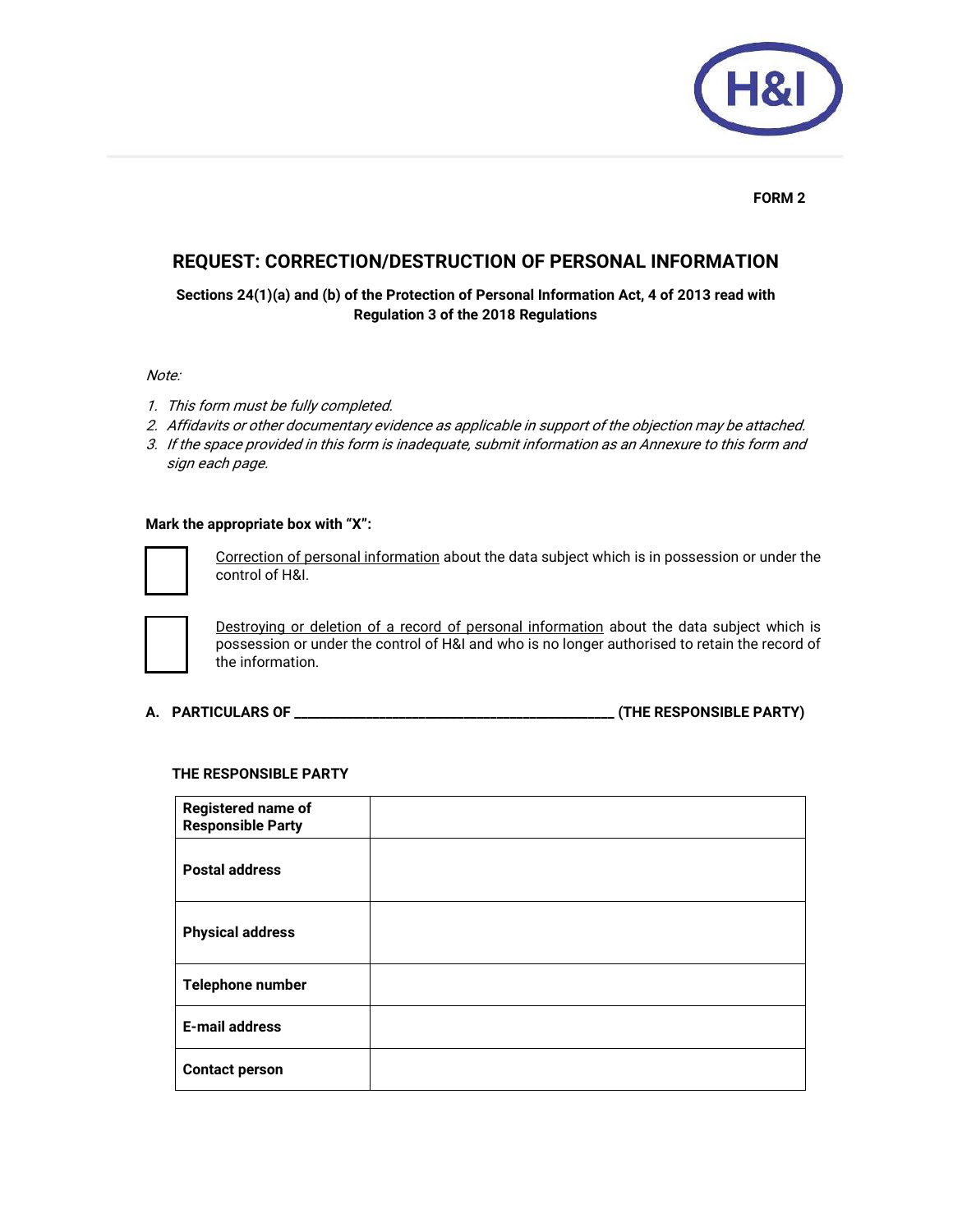

### **FORM 2**

# **REQUEST: CORRECTION/DESTRUCTION OF PERSONAL INFORMATION**

**Sections 24(1)(a) and (b) of the Protection of Personal Information Act, 4 of 2013 read with Regulation 3 of the 2018 Regulations** 

### Note:

- 1. This form must be fully completed.
- 2. Affidavits or other documentary evidence as applicable in support of the objection may be attached.
- 3. If the space provided in this form is inadequate, submit information as an Annexure to this form and sign each page.

#### **Mark the appropriate box with "X":**



Correction of personal information about the data subject which is in possession or under the control of H&I.



Destroying or deletion of a record of personal information about the data subject which is possession or under the control of H&I and who is no longer authorised to retain the record of the information.

**A. PARTICULARS OF \_\_\_\_\_\_\_\_\_\_\_\_\_\_\_\_\_\_\_\_\_\_\_\_\_\_\_\_\_\_\_\_\_\_\_\_\_\_\_\_\_\_\_\_\_\_\_\_\_ (THE RESPONSIBLE PARTY)** 

# **THE RESPONSIBLE PARTY**

| <b>Registered name of</b><br><b>Responsible Party</b> |  |
|-------------------------------------------------------|--|
| <b>Postal address</b>                                 |  |
| <b>Physical address</b>                               |  |
| Telephone number                                      |  |
| <b>E-mail address</b>                                 |  |
| <b>Contact person</b>                                 |  |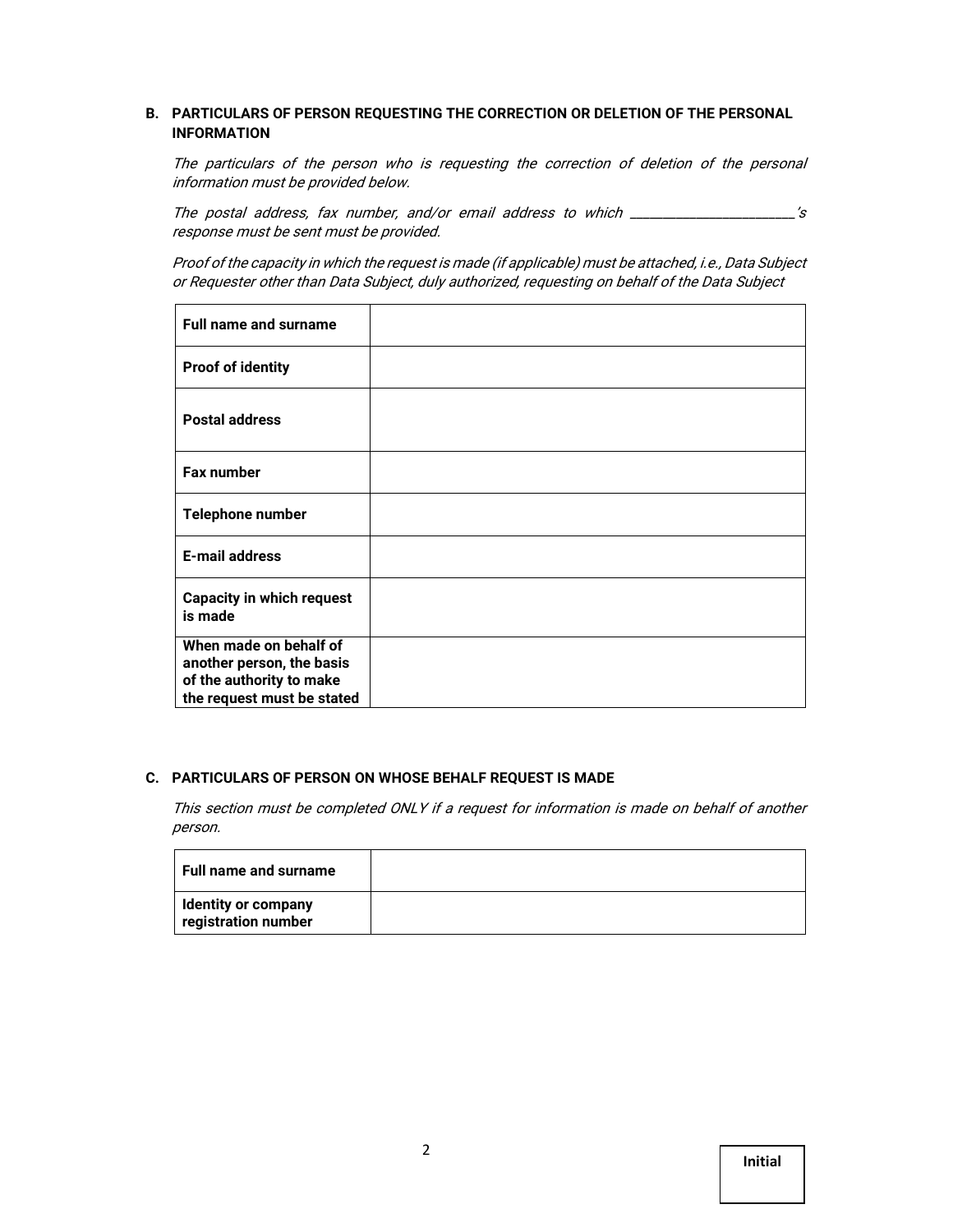## **B. PARTICULARS OF PERSON REQUESTING THE CORRECTION OR DELETION OF THE PERSONAL INFORMATION**

The particulars of the person who is requesting the correction of deletion of the personal information must be provided below.

The postal address, fax number, and/or email address to which \_\_\_\_\_\_\_\_\_\_\_\_\_\_\_\_\_\_\_\_\_\_\_\_'s response must be sent must be provided.

Proof of the capacity in which the request is made (if applicable) must be attached, i.e., Data Subject or Requester other than Data Subject, duly authorized, requesting on behalf of the Data Subject

| <b>Full name and surname</b>                           |  |
|--------------------------------------------------------|--|
| <b>Proof of identity</b>                               |  |
| <b>Postal address</b>                                  |  |
| <b>Fax number</b>                                      |  |
| <b>Telephone number</b>                                |  |
| <b>E-mail address</b>                                  |  |
| <b>Capacity in which request</b><br>is made            |  |
| When made on behalf of                                 |  |
| another person, the basis                              |  |
| of the authority to make<br>the request must be stated |  |
|                                                        |  |

#### **C. PARTICULARS OF PERSON ON WHOSE BEHALF REQUEST IS MADE**

This section must be completed ONLY if a request for information is made on behalf of another person.

| <b>Full name and surname</b>               |  |
|--------------------------------------------|--|
| Identity or company<br>registration number |  |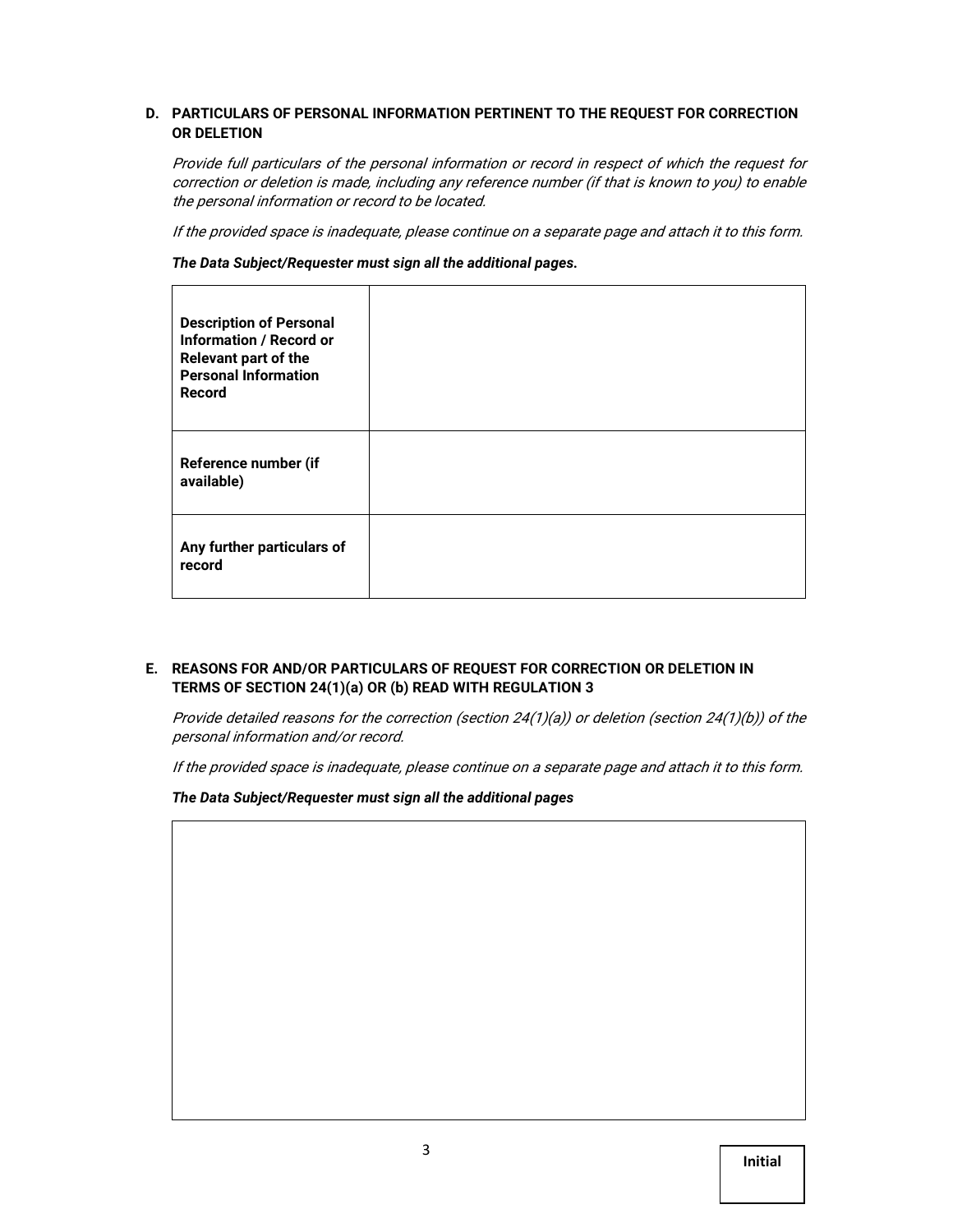## **D. PARTICULARS OF PERSONAL INFORMATION PERTINENT TO THE REQUEST FOR CORRECTION OR DELETION**

Provide full particulars of the personal information or record in respect of which the request for correction or deletion is made, including any reference number (if that is known to you) to enable the personal information or record to be located.

If the provided space is inadequate, please continue on a separate page and attach it to this form.

*The Data Subject/Requester must sign all the additional pages.*

| <b>Description of Personal</b><br><b>Information / Record or</b><br>Relevant part of the<br><b>Personal Information</b><br>Record |  |
|-----------------------------------------------------------------------------------------------------------------------------------|--|
| Reference number (if<br>available)                                                                                                |  |
| Any further particulars of<br>record                                                                                              |  |

## **E. REASONS FOR AND/OR PARTICULARS OF REQUEST FOR CORRECTION OR DELETION IN TERMS OF SECTION 24(1)(a) OR (b) READ WITH REGULATION 3**

Provide detailed reasons for the correction (section 24(1)(a)) or deletion (section 24(1)(b)) of the personal information and/or record.

If the provided space is inadequate, please continue on a separate page and attach it to this form.

*The Data Subject/Requester must sign all the additional pages*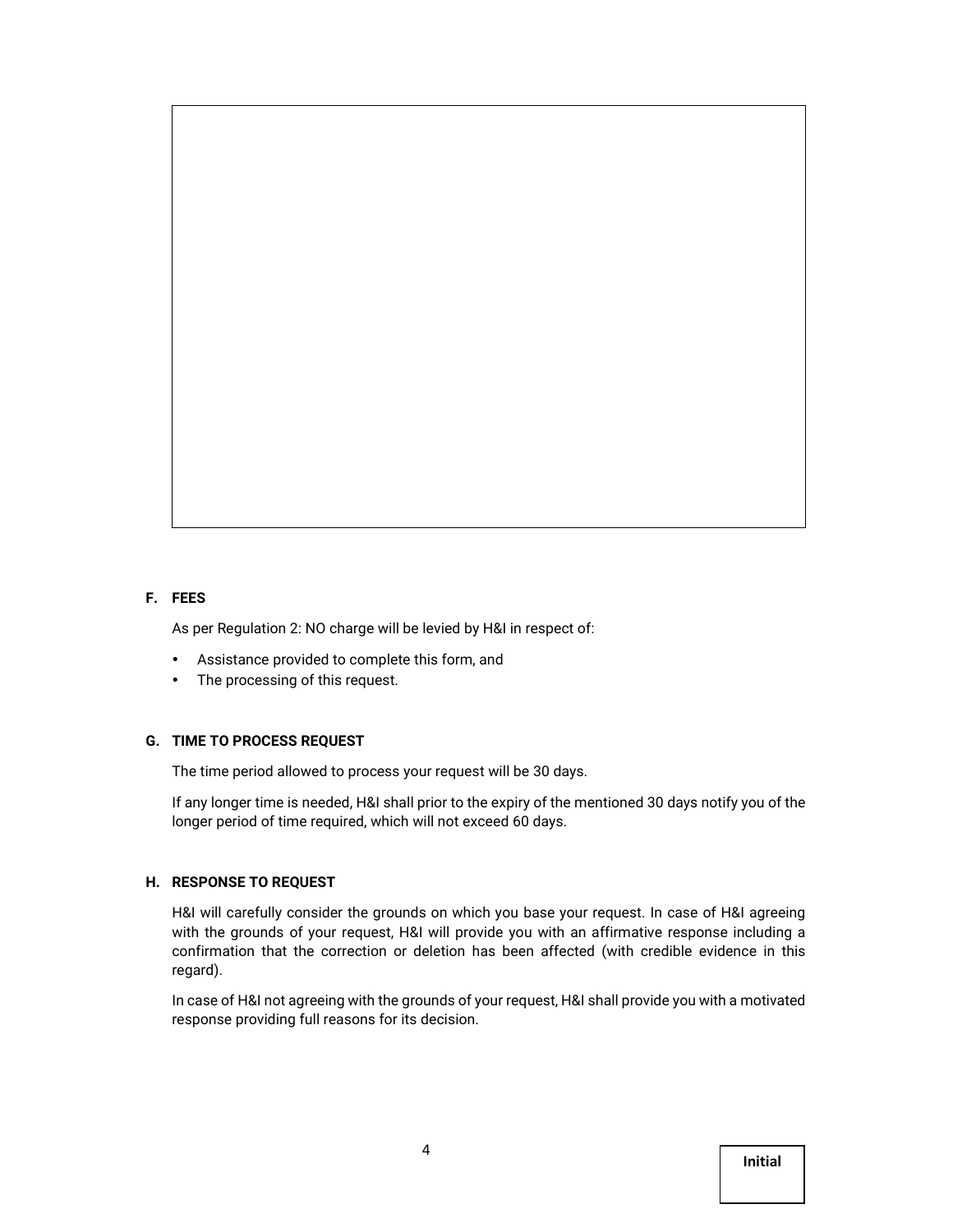## **F. FEES**

As per Regulation 2: NO charge will be levied by H&I in respect of:

- Assistance provided to complete this form, and
- The processing of this request.

## **G. TIME TO PROCESS REQUEST**

The time period allowed to process your request will be 30 days.

If any longer time is needed, H&I shall prior to the expiry of the mentioned 30 days notify you of the longer period of time required, which will not exceed 60 days.

### **H. RESPONSE TO REQUEST**

H&I will carefully consider the grounds on which you base your request. In case of H&I agreeing with the grounds of your request, H&I will provide you with an affirmative response including a confirmation that the correction or deletion has been affected (with credible evidence in this regard).

In case of H&I not agreeing with the grounds of your request, H&I shall provide you with a motivated response providing full reasons for its decision.